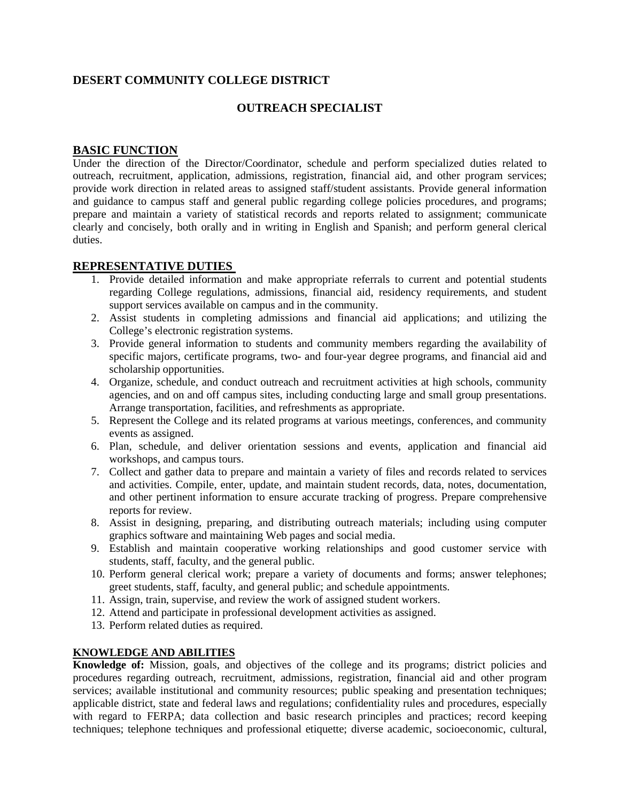# **DESERT COMMUNITY COLLEGE DISTRICT**

## **OUTREACH SPECIALIST**

## **BASIC FUNCTION**

Under the direction of the Director/Coordinator, schedule and perform specialized duties related to outreach, recruitment, application, admissions, registration, financial aid, and other program services; provide work direction in related areas to assigned staff/student assistants. Provide general information and guidance to campus staff and general public regarding college policies procedures, and programs; prepare and maintain a variety of statistical records and reports related to assignment; communicate clearly and concisely, both orally and in writing in English and Spanish; and perform general clerical duties.

#### **REPRESENTATIVE DUTIES**

- 1. Provide detailed information and make appropriate referrals to current and potential students regarding College regulations, admissions, financial aid, residency requirements, and student support services available on campus and in the community.
- 2. Assist students in completing admissions and financial aid applications; and utilizing the College's electronic registration systems.
- 3. Provide general information to students and community members regarding the availability of specific majors, certificate programs, two- and four-year degree programs, and financial aid and scholarship opportunities.
- 4. Organize, schedule, and conduct outreach and recruitment activities at high schools, community agencies, and on and off campus sites, including conducting large and small group presentations. Arrange transportation, facilities, and refreshments as appropriate.
- 5. Represent the College and its related programs at various meetings, conferences, and community events as assigned.
- 6. Plan, schedule, and deliver orientation sessions and events, application and financial aid workshops, and campus tours.
- 7. Collect and gather data to prepare and maintain a variety of files and records related to services and activities. Compile, enter, update, and maintain student records, data, notes, documentation, and other pertinent information to ensure accurate tracking of progress. Prepare comprehensive reports for review.
- 8. Assist in designing, preparing, and distributing outreach materials; including using computer graphics software and maintaining Web pages and social media.
- 9. Establish and maintain cooperative working relationships and good customer service with students, staff, faculty, and the general public.
- 10. Perform general clerical work; prepare a variety of documents and forms; answer telephones; greet students, staff, faculty, and general public; and schedule appointments.
- 11. Assign, train, supervise, and review the work of assigned student workers.
- 12. Attend and participate in professional development activities as assigned.
- 13. Perform related duties as required.

#### **KNOWLEDGE AND ABILITIES**

**Knowledge of:** Mission, goals, and objectives of the college and its programs; district policies and procedures regarding outreach, recruitment, admissions, registration, financial aid and other program services; available institutional and community resources; public speaking and presentation techniques; applicable district, state and federal laws and regulations; confidentiality rules and procedures, especially with regard to FERPA; data collection and basic research principles and practices; record keeping techniques; telephone techniques and professional etiquette; diverse academic, socioeconomic, cultural,